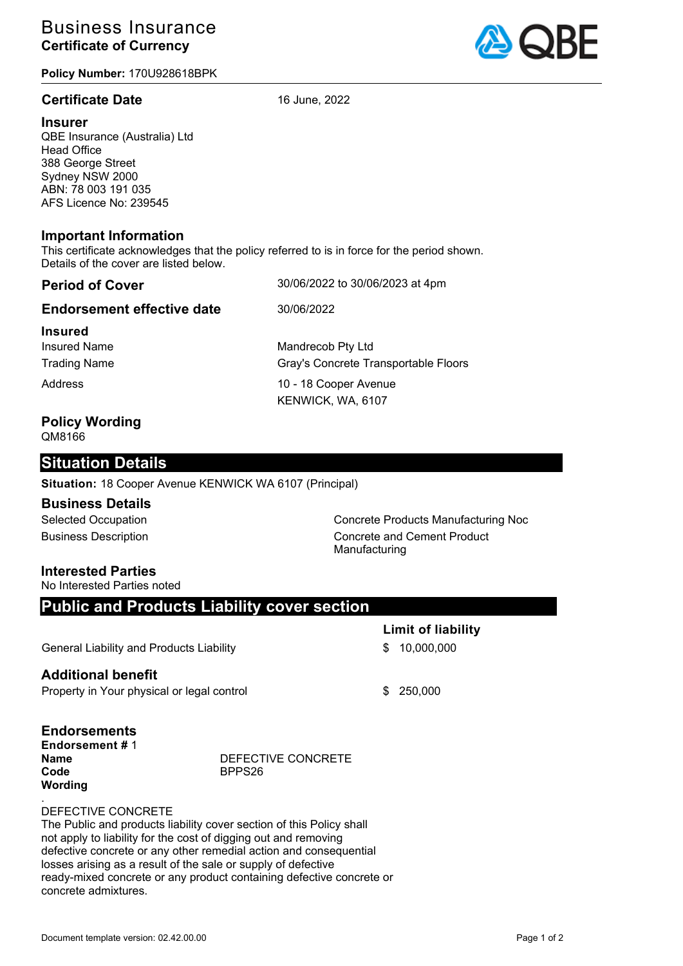# Business Insurance **Certificate of Currency**

**Policy Number:** 170U928618BPK

### **Certificate Date** 16 June, 2022



QBE Insurance (Australia) Ltd Head Office 388 George Street Sydney NSW 2000 ABN: 78 003 191 035 AFS Licence No: 239545

#### **Important Information**

This certificate acknowledges that the policy referred to is in force for the period shown. Details of the cover are listed below.

| <b>Period of Cover</b>                                       | 30/06/2022 to 30/06/2023 at 4pm                           |
|--------------------------------------------------------------|-----------------------------------------------------------|
| <b>Endorsement effective date</b>                            | 30/06/2022                                                |
| <b>Insured</b><br><b>Insured Name</b><br><b>Trading Name</b> | Mandrecob Pty Ltd<br>Gray's Concrete Transportable Floors |
| Address                                                      | 10 - 18 Cooper Avenue<br>KENWICK, WA, 6107                |
|                                                              |                                                           |

#### **Policy Wording** QM8166

## **Situation Details**

**Situation:** 18 Cooper Avenue KENWICK WA 6107 (Principal)

#### **Business Details**

Selected Occupation **Concrete Products Manufacturing Noc** Business Description **Concrete and Cement Product** Manufacturing

**Limit of liability**

#### **Interested Parties**

No Interested Parties noted

## **Public and Products Liability cover section**

General Liability and Products Liability **6 10,000,000** \$ 10,000,000

#### **Additional benefit**

Property in Your physical or legal control  $$250,000$ 

# **Endorsements**

**Endorsement #** 1 **Name** DEFECTIVE CONCRETE **Code** BPPS26 **Wording**

#### . DEFECTIVE CONCRETE

The Public and products liability cover section of this Policy shall not apply to liability for the cost of digging out and removing defective concrete or any other remedial action and consequential losses arising as a result of the sale or supply of defective ready-mixed concrete or any product containing defective concrete or concrete admixtures.